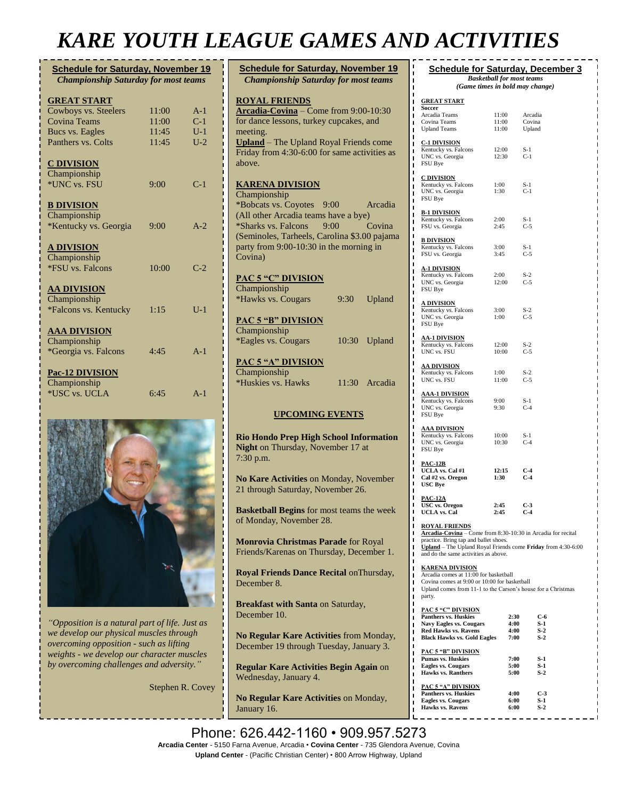# *KARE YOUTH LEAGUE GAMES AND ACTIVITIES*

| <b>Schedule for Saturday, November 19</b><br><b>Championship Saturday for most teams</b> |       |       |
|------------------------------------------------------------------------------------------|-------|-------|
| <b>GREAT START</b>                                                                       |       |       |
| Cowboys vs. Steelers                                                                     | 11:00 | $A-1$ |
| <b>Covina Teams</b>                                                                      | 11:00 | $C-1$ |
| Bucs vs. Eagles                                                                          | 11:45 | $U-1$ |
| Panthers vs. Colts                                                                       | 11:45 | $U-2$ |
| <b>C DIVISION</b>                                                                        |       |       |
| Championship                                                                             |       |       |
| *UNC vs. FSU                                                                             | 9:00  | $C-1$ |
| <b>B DIVISION</b>                                                                        |       |       |
| Championship                                                                             |       |       |
| *Kentucky vs. Georgia                                                                    | 9:00  | $A-2$ |
| <b>A DIVISION</b>                                                                        |       |       |
| Championship                                                                             |       |       |
| *FSU vs. Falcons                                                                         | 10:00 | $C-2$ |
| <b>AA DIVISION</b>                                                                       |       |       |
| Championship                                                                             |       |       |
| *Falcons vs. Kentucky                                                                    | 1:15  | $U-1$ |
| <b>AAA DIVISION</b>                                                                      |       |       |
| Championship                                                                             |       |       |
| *Georgia vs. Falcons                                                                     | 4:45  | $A-1$ |
| Pac-12 DIVISION                                                                          |       |       |
| Championship<br>*USC vs. UCLA                                                            | 6:45  | $A-1$ |
|                                                                                          |       |       |



*"Opposition is a natural part of life. Just as we develop our physical muscles through overcoming opposition - such as lifting weights - we develop our character muscles by overcoming challenges and adversity."*

Stephen R. Covey

| <b>Schedule for Saturday, November 19</b>                                          |         |
|------------------------------------------------------------------------------------|---------|
| <b>Championship Saturday for most teams</b>                                        |         |
|                                                                                    |         |
| <b>ROYAL FRIENDS</b>                                                               |         |
| Arcadia-Covina - Come from 9:00-10:30                                              |         |
| for dance lessons, turkey cupcakes, and                                            |         |
| meeting.<br><b>Upland</b> - The Upland Royal Friends come                          |         |
| Friday from 4:30-6:00 for same activities as                                       |         |
| above.                                                                             |         |
|                                                                                    |         |
| <u>KARENA DIVISION</u>                                                             |         |
| Championship                                                                       |         |
| *Bobcats vs. Coyotes<br>9:00                                                       | Arcadia |
| (All other Arcadia teams have a bye)                                               |         |
| *Sharks vs. Falcons<br>9:00                                                        | Covina  |
| (Seminoles, Tarheels, Carolina \$3.00 pajama                                       |         |
| party from 9:00-10:30 in the morning in                                            |         |
| Covina)                                                                            |         |
|                                                                                    |         |
| <b>PAC 5 "C" DIVISION</b><br>Championship                                          |         |
| *Hawks vs. Cougars<br>9:30                                                         | Upland  |
|                                                                                    |         |
| <b>PAC 5 "B" DIVISION</b>                                                          |         |
| Championship                                                                       |         |
| *Eagles vs. Cougars<br>10:30 Upland                                                |         |
|                                                                                    |         |
| PAC 5 "A" DIVISION                                                                 |         |
| Championship                                                                       |         |
| *Huskies vs. Hawks<br>11:30 Arcadia                                                |         |
|                                                                                    |         |
| <b>UPCOMING EVENTS</b>                                                             |         |
|                                                                                    |         |
| <b>Rio Hondo Prep High School Information</b>                                      |         |
| Night on Thursday, November 17 at                                                  |         |
| 7:30 p.m.                                                                          |         |
|                                                                                    |         |
| No Kare Activities on Monday, November                                             |         |
| 21 through Saturday, November 26.                                                  |         |
|                                                                                    |         |
| <b>Basketball Begins</b> for most teams the week<br>of Monday, November 28.        |         |
|                                                                                    |         |
| Monrovia Christmas Parade for Royal                                                |         |
| Friends/Karenas on Thursday, December 1.                                           |         |
|                                                                                    |         |
| Royal Friends Dance Recital on Thursday,                                           |         |
| December 8.                                                                        |         |
|                                                                                    |         |
| <b>Breakfast with Santa on Saturday,</b>                                           |         |
| December 10.                                                                       |         |
|                                                                                    |         |
| No Regular Kare Activities from Monday,<br>December 19 through Tuesday, January 3. |         |
|                                                                                    |         |
|                                                                                    |         |

**Regular Kare Activities Begin Again** on Wednesday, January 4.

**No Regular Kare Activities** on Monday, January 16.

| 11:00<br>11:00<br>Kentucky vs. Falcons 12:00<br>12:30<br>1:00<br>1:30 | $11:00$ Arcadia<br>Covina<br>Upland<br>$S-1$<br>$C-1$<br>$S-1$<br>$C-1$ |
|-----------------------------------------------------------------------|-------------------------------------------------------------------------|
|                                                                       |                                                                         |
|                                                                       |                                                                         |
|                                                                       |                                                                         |
|                                                                       |                                                                         |
| Kentucky vs. Falcons<br>2:00<br>2:45                                  | $S-1$<br>$C-5$                                                          |
| Kentucky vs. Falcons<br>3:00<br>3:45                                  | $S-1$<br>$C-5$                                                          |
| $\frac{12.61 \times 100000}{200}$<br>Kentucky vs. Falcons 2:00        | $S-2$                                                                   |
| 12:00                                                                 | $C-5$                                                                   |
| 3:00                                                                  | $S-2$                                                                   |
| 1:00                                                                  | $C-5$                                                                   |
| 12:00                                                                 | $S-2$                                                                   |
| 10:00                                                                 | $C-5$                                                                   |
| Kentucky vs. Falcons $1:00$                                           | $S-2$                                                                   |
| 11:00                                                                 | $C-5$                                                                   |
| 9:00                                                                  | $S-1$                                                                   |
| 9:30                                                                  | $C-4$                                                                   |
| 10:00                                                                 | $S-1$                                                                   |
| 10:30                                                                 | $C-4$                                                                   |
| 12:15                                                                 | $C-4$                                                                   |
| 1:30                                                                  | $C-4$                                                                   |
| 2:45                                                                  | $C-3$                                                                   |
| 2:45                                                                  | $C-4$                                                                   |
| practice. Bring tap and ballet shoes.                                 | Arcadia-Covina - Come from 8:30-10:30 in Arcadia for recital            |
| and do the same activities as above.                                  | Upland - The Upland Royal Friends come Friday from 4:30-6:00            |
|                                                                       | Arcadia comes at 11:00 for basketball                                   |

Arcadia comes at 11:00 for basketball Covina comes at 9:00 or 10:00 for basketball Upland comes from 11-1 to the Carson's house for a Christmas party.

| <b>Panthers vs. Huskies</b>        | 2:30 | C-6   |
|------------------------------------|------|-------|
| <b>Navy Eagles vs. Cougars</b>     | 4:00 | S-1   |
| <b>Red Hawks vs. Ravens</b>        | 4:00 | $S-2$ |
| <b>Black Hawks vs. Gold Eagles</b> | 7:00 | $S-2$ |
| PAC 5 "B" DIVISION                 |      |       |
| Pumas vs. Huskies                  | 7:00 | S-1   |
| <b>Eagles vs. Cougars</b>          | 5:00 | $S-1$ |
| <b>Hawks vs. Ranthers</b>          | 5:00 | $S-2$ |
| <b>PAC 5 "A" DIVISION</b>          |      |       |
| <b>Panthers vs. Huskies</b>        | 4:00 | C-3   |
| <b>Eagles vs. Cougars</b>          | 6:00 | $S-1$ |
| <b>Hawks vs. Ravens</b>            | 6:00 | $S-2$ |

Phone: 626.442-1160 · 909.957.5273 Arcadia Center - 5150 Farna Avenue, Arcadia • Covina Center - 735 Glendora Avenue, Covina **Upland Center** - (Pacific Christian Center) • 800 Arrow Highway, Upland